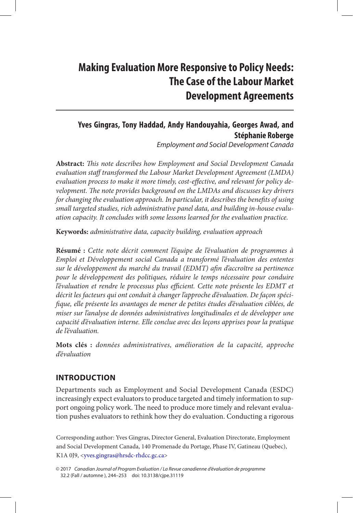# **Making Evaluation More Responsive to Policy Needs: The Case of the Labour Market Development Agreements**

# **Yves Gingras, Tony Haddad, Andy Handouyahia, Georges Awad, and Stéphanie Roberge**

*Employment and Social Development Canada*

**Abstract:** *This note describes how Employment and Social Development Canada evaluation staff transformed the Labour Market Development Agreement (LMDA) evaluation process to make it more timely, cost-effective, and relevant for policy development. The note provides background on the LMDAs and discusses key drivers for changing the evaluation approach. In particular, it describes the benefits of using small targeted studies, rich administrative panel data, and building in-house evaluation capacity. It concludes with some lessons learned for the evaluation practice.*

**Keywords:** *administrative data, capacity building, evaluation approach*

**Résumé :** *Cette note décrit comment l'équipe de l'évaluation de programmes à Emploi et Développement social Canada a transformé l'évaluation des ententes sur le développement du marché du travail (EDMT) afin d'accroître sa pertinence pour le développement des politiques, réduire le temps nécessaire pour conduire l'évaluation et rendre le processus plus efficient. Cette note présente les EDMT et décrit les facteurs qui ont conduit à changer l'approche d'évaluation. De façon spécifique, elle présente les avantages de mener de petites études d'évaluation ciblées, de miser sur l'analyse de données administratives longitudinales et de développer une capacité d'évaluation interne. Elle conclue avec des leçons apprises pour la pratique de l'évaluation.*

**Mots clés :** *données administratives, amélioration de la capacité, approche d'évaluation*

## **Introduction**

Departments such as Employment and Social Development Canada (ESDC) increasingly expect evaluators to produce targeted and timely information to support ongoing policy work. The need to produce more timely and relevant evaluation pushes evaluators to rethink how they do evaluation. Conducting a rigorous

Corresponding author: Yves Gingras, Director General, Evaluation Directorate, Employment and Social Development Canada, 140 Promenade du Portage, Phase IV, Gatineau (Quebec), K1A 0J9, <[yves.gingras@hrsdc-rhdcc.gc.ca](mailto:yves.gingras@hrsdc-rhdcc.gc.ca)>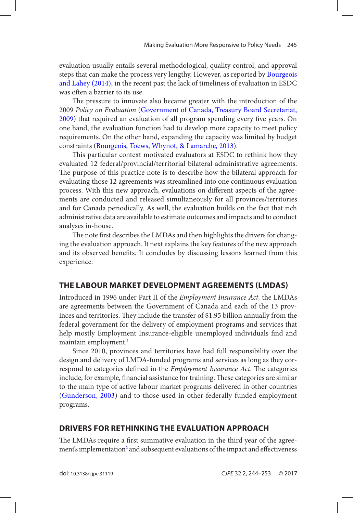<span id="page-1-0"></span>evaluation usually entails several methodological, quality control, and approval steps that can make the process very lengthy. However, as reported by [Bourgeois](#page-7-0) [and Lahey \(2014\)](#page-7-0), in the recent past the lack of timeliness of evaluation in ESDC was often a barrier to its use.

The pressure to innovate also became greater with the introduction of the 2009 *Policy on Evaluation* [\(Government of Canada, Treasury Board Secretariat,](#page-8-0) [2009\)](#page-8-0) that required an evaluation of all program spending every five years. On one hand, the evaluation function had to develop more capacity to meet policy requirements. On the other hand, expanding the capacity was limited by budget constraints ([Bourgeois, Toews, Whynot, & Lamarche, 2013](#page-7-0)).

This particular context motivated evaluators at ESDC to rethink how they evaluated 12 federal/provincial/territorial bilateral administrative agreements. The purpose of this practice note is to describe how the bilateral approach for evaluating those 12 agreements was streamlined into one continuous evaluation process. With this new approach, evaluations on different aspects of the agreements are conducted and released simultaneously for all provinces/territories and for Canada periodically. As well, the evaluation builds on the fact that rich administrative data are available to estimate outcomes and impacts and to conduct analyses in-house.

The note first describes the LMDAs and then highlights the drivers for changing the evaluation approach. It next explains the key features of the new approach and its observed benefits. It concludes by discussing lessons learned from this experience.

# **The Labour Market Development Agreements (LMDAS)**

Introduced in 1996 under Part II of the *Employment Insurance Act,* the LMDAs are agreements between the Government of Canada and each of the 13 provinces and territories. They include the transfer of \$1.95 billion annually from the federal government for the delivery of employment programs and services that help mostly Employment Insurance-eligible unemployed individuals find and maintain employment.<sup>1</sup>

Since 2010, provinces and territories have had full responsibility over the design and delivery of LMDA-funded programs and services as long as they correspond to categories defined in the *Employment Insurance Act*. The categories include, for example, financial assistance for training. These categories are similar to the main type of active labour market programs delivered in other countries ([Gunderson, 2003](#page-8-0)) and to those used in other federally funded employment programs.

# **Drivers for Rethinking the Evaluation Approach**

The LMDAs require a first summative evaluation in the third year of the agree-ment's implementation<sup>[2](#page-7-0)</sup> and subsequent evaluations of the impact and effectiveness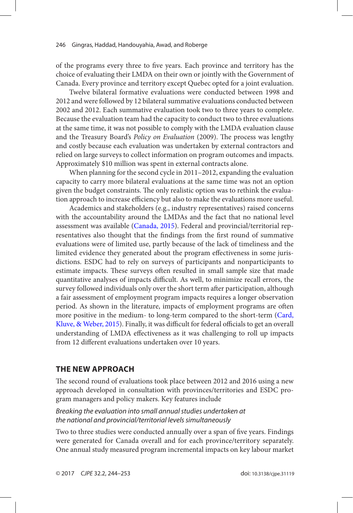<span id="page-2-0"></span>of the programs every three to five years. Each province and territory has the choice of evaluating their LMDA on their own or jointly with the Government of Canada. Every province and territory except Quebec opted for a joint evaluation.

Twelve bilateral formative evaluations were conducted between 1998 and 2012 and were followed by 12 bilateral summative evaluations conducted between 2002 and 2012. Each summative evaluation took two to three years to complete. Because the evaluation team had the capacity to conduct two to three evaluations at the same time, it was not possible to comply with the LMDA evaluation clause and the Treasury Board's *Policy on Evaluation* (2009). The process was lengthy and costly because each evaluation was undertaken by external contractors and relied on large surveys to collect information on program outcomes and impacts. Approximately \$10 million was spent in external contracts alone.

When planning for the second cycle in 2011–2012, expanding the evaluation capacity to carry more bilateral evaluations at the same time was not an option given the budget constraints. The only realistic option was to rethink the evaluation approach to increase efficiency but also to make the evaluations more useful.

Academics and stakeholders (e.g., industry representatives) raised concerns with the accountability around the LMDAs and the fact that no national level assessment was available ([Canada, 2015](#page-7-0)). Federal and provincial/territorial representatives also thought that the findings from the first round of summative evaluations were of limited use, partly because of the lack of timeliness and the limited evidence they generated about the program effectiveness in some jurisdictions. ESDC had to rely on surveys of participants and nonparticipants to estimate impacts. These surveys often resulted in small sample size that made quantitative analyses of impacts difficult. As well, to minimize recall errors, the survey followed individuals only over the short term after participation, although a fair assessment of employment program impacts requires a longer observation period. As shown in the literature, impacts of employment programs are often more positive in the medium- to long-term compared to the short-term [\(Card,](#page-7-0) [Kluve, & Weber, 2015](#page-7-0)). Finally, it was difficult for federal officials to get an overall understanding of LMDA effectiveness as it was challenging to roll up impacts from 12 different evaluations undertaken over 10 years.

# **The New Approach**

The second round of evaluations took place between 2012 and 2016 using a new approach developed in consultation with provinces/territories and ESDC program managers and policy makers. Key features include

#### *Breaking the evaluation into small annual studies undertaken at the national and provincial/territorial levels simultaneously*

Two to three studies were conducted annually over a span of five years. Findings were generated for Canada overall and for each province/territory separately. One annual study measured program incremental impacts on key labour market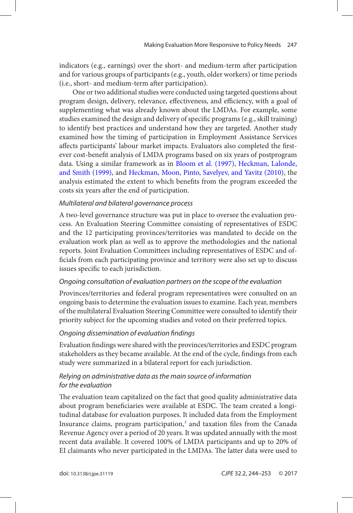<span id="page-3-0"></span>indicators (e.g., earnings) over the short- and medium-term after participation and for various groups of participants (e.g., youth, older workers) or time periods (i.e., short- and medium-term after participation).

One or two additional studies were conducted using targeted questions about program design, delivery, relevance, effectiveness, and efficiency, with a goal of supplementing what was already known about the LMDAs. For example, some studies examined the design and delivery of specific programs (e.g., skill training) to identify best practices and understand how they are targeted. Another study examined how the timing of participation in Employment Assistance Services affects participants' labour market impacts. Evaluators also completed the firstever cost-benefit analysis of LMDA programs based on six years of postprogram data. Using a similar framework as in [Bloom et al. \(1997\),](#page-7-0) [Heckman, Lalonde,](#page-8-0)  [and Smith \(1999\)](#page-8-0), and [Heckman, Moon, Pinto, Savelyev, and Yavitz \(2010\)](#page-8-0), the analysis estimated the extent to which benefits from the program exceeded the costs six years after the end of participation.

#### *Multilateral and bilateral governance process*

A two-level governance structure was put in place to oversee the evaluation process. An Evaluation Steering Committee consisting of representatives of ESDC and the 12 participating provinces/territories was mandated to decide on the evaluation work plan as well as to approve the methodologies and the national reports. Joint Evaluation Committees including representatives of ESDC and officials from each participating province and territory were also set up to discuss issues specific to each jurisdiction.

#### *Ongoing consultation of evaluation partners on the scope of the evaluation*

Provinces/territories and federal program representatives were consulted on an ongoing basis to determine the evaluation issues to examine. Each year, members of the multilateral Evaluation Steering Committee were consulted to identify their priority subject for the upcoming studies and voted on their preferred topics.

#### *Ongoing dissemination of evaluation findings*

Evaluation findings were shared with the provinces/territories and ESDC program stakeholders as they became available. At the end of the cycle, findings from each study were summarized in a bilateral report for each jurisdiction.

#### *Relying on administrative data as the main source of information for the evaluation*

The evaluation team capitalized on the fact that good quality administrative data about program beneficiaries were available at ESDC. The team created a longitudinal database for evaluation purposes. It included data from the Employment Insurance claims, program participation,<sup>3</sup> and taxation files from the Canada Revenue Agency over a period of 20 years. It was updated annually with the most recent data available. It covered 100% of LMDA participants and up to 20% of EI claimants who never participated in the LMDAs. The latter data were used to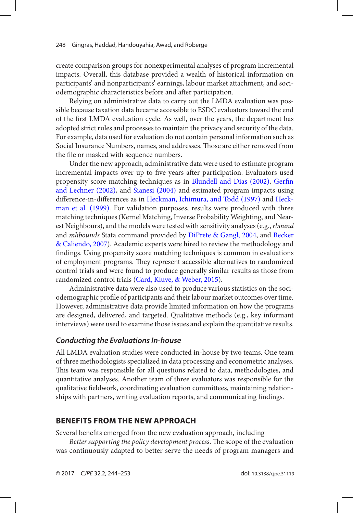<span id="page-4-0"></span>create comparison groups for nonexperimental analyses of program incremental impacts. Overall, this database provided a wealth of historical information on participants' and nonparticipants' earnings, labour market attachment, and sociodemographic characteristics before and after participation.

Relying on administrative data to carry out the LMDA evaluation was possible because taxation data became accessible to ESDC evaluators toward the end of the first LMDA evaluation cycle. As well, over the years, the department has adopted strict rules and processes to maintain the privacy and security of the data. For example, data used for evaluation do not contain personal information such as Social Insurance Numbers, names, and addresses. Those are either removed from the file or masked with sequence numbers.

Under the new approach, administrative data were used to estimate program incremental impacts over up to five years after participation. Evaluators used propensity score matching techniques as in [Blundell and Dias \(2002\)](#page-7-0), [Gerfin](#page-8-0) [and Lechner \(2002\)](#page-8-0), and [Sianesi \(2004\)](#page-8-0) and estimated program impacts using difference-in-differences as in [Heckman, Ichimura, and Todd \(1997\)](#page-8-0) and [Heck](#page-8-0)[man et al. \(1999\)](#page-8-0). For validation purposes, results were produced with three matching techniques (Kernel Matching, Inverse Probability Weighting, and Nearest Neighbours), and the models were tested with sensitivity analyses (e.g., *rbound* and *mhbounds* Stata command provided by [DiPrete & Gangl, 2004](#page-8-0), and [Becker](#page-7-0) [& Caliendo, 2007](#page-7-0)). Academic experts were hired to review the methodology and findings. Using propensity score matching techniques is common in evaluations of employment programs. They represent accessible alternatives to randomized control trials and were found to produce generally similar results as those from randomized control trials ([Card, Kluve, & Weber, 2015](#page-7-0)).

Administrative data were also used to produce various statistics on the sociodemographic profile of participants and their labour market outcomes over time. However, administrative data provide limited information on how the programs are designed, delivered, and targeted. Qualitative methods (e.g., key informant interviews) were used to examine those issues and explain the quantitative results.

#### *Conducting the Evaluations In-house*

All LMDA evaluation studies were conducted in-house by two teams. One team of three methodologists specialized in data processing and econometric analyses. This team was responsible for all questions related to data, methodologies, and quantitative analyses. Another team of three evaluators was responsible for the qualitative fieldwork, coordinating evaluation committees, maintaining relationships with partners, writing evaluation reports, and communicating findings.

## **Benefits from the New Approach**

Several benefits emerged from the new evaluation approach, including

*Better supporting the policy development process*. The scope of the evaluation was continuously adapted to better serve the needs of program managers and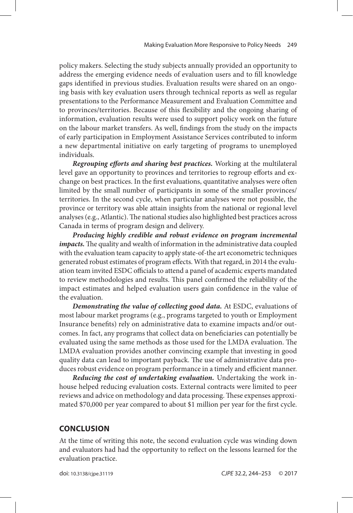policy makers. Selecting the study subjects annually provided an opportunity to address the emerging evidence needs of evaluation users and to fill knowledge gaps identified in previous studies. Evaluation results were shared on an ongoing basis with key evaluation users through technical reports as well as regular presentations to the Performance Measurement and Evaluation Committee and to provinces/territories. Because of this flexibility and the ongoing sharing of information, evaluation results were used to support policy work on the future on the labour market transfers. As well, findings from the study on the impacts of early participation in Employment Assistance Services contributed to inform a new departmental initiative on early targeting of programs to unemployed individuals.

*Regrouping efforts and sharing best practices.* Working at the multilateral level gave an opportunity to provinces and territories to regroup efforts and exchange on best practices. In the first evaluations, quantitative analyses were often limited by the small number of participants in some of the smaller provinces/ territories. In the second cycle, when particular analyses were not possible, the province or territory was able attain insights from the national or regional level analyses (e.g., Atlantic). The national studies also highlighted best practices across Canada in terms of program design and delivery.

*Producing highly credible and robust evidence on program incremental impacts.* The quality and wealth of information in the administrative data coupled with the evaluation team capacity to apply state-of-the art econometric techniques generated robust estimates of program effects. With that regard, in 2014 the evaluation team invited ESDC officials to attend a panel of academic experts mandated to review methodologies and results. This panel confirmed the reliability of the impact estimates and helped evaluation users gain confidence in the value of the evaluation.

*Demonstrating the value of collecting good data.* At ESDC, evaluations of most labour market programs (e.g., programs targeted to youth or Employment Insurance benefits) rely on administrative data to examine impacts and/or outcomes. In fact, any programs that collect data on beneficiaries can potentially be evaluated using the same methods as those used for the LMDA evaluation. The LMDA evaluation provides another convincing example that investing in good quality data can lead to important payback. The use of administrative data produces robust evidence on program performance in a timely and efficient manner.

*Reducing the cost of undertaking evaluation.* Undertaking the work inhouse helped reducing evaluation costs. External contracts were limited to peer reviews and advice on methodology and data processing. These expenses approximated \$70,000 per year compared to about \$1 million per year for the first cycle.

#### **Conclusion**

At the time of writing this note, the second evaluation cycle was winding down and evaluators had had the opportunity to reflect on the lessons learned for the evaluation practice.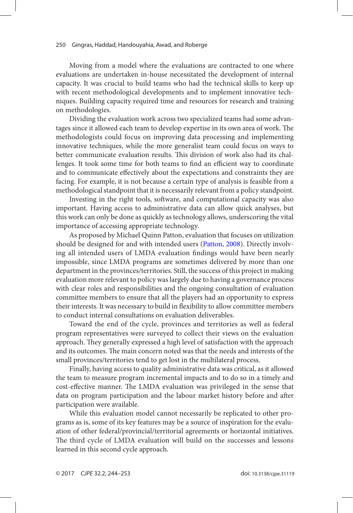<span id="page-6-0"></span>Moving from a model where the evaluations are contracted to one where evaluations are undertaken in-house necessitated the development of internal capacity. It was crucial to build teams who had the technical skills to keep up with recent methodological developments and to implement innovative techniques. Building capacity required time and resources for research and training on methodologies.

Dividing the evaluation work across two specialized teams had some advantages since it allowed each team to develop expertise in its own area of work. The methodologists could focus on improving data processing and implementing innovative techniques, while the more generalist team could focus on ways to better communicate evaluation results. This division of work also had its challenges. It took some time for both teams to find an efficient way to coordinate and to communicate effectively about the expectations and constraints they are facing. For example, it is not because a certain type of analysis is feasible from a methodological standpoint that it is necessarily relevant from a policy standpoint.

Investing in the right tools, software, and computational capacity was also important. Having access to administrative data can allow quick analyses, but this work can only be done as quickly as technology allows, underscoring the vital importance of accessing appropriate technology.

As proposed by Michael Quinn Patton, evaluation that focuses on utilization should be designed for and with intended users ([Patton, 2008\)](#page-8-0). Directly involving all intended users of LMDA evaluation findings would have been nearly impossible, since LMDA programs are sometimes delivered by more than one department in the provinces/territories. Still, the success of this project in making evaluation more relevant to policy was largely due to having a governance process with clear roles and responsibilities and the ongoing consultation of evaluation committee members to ensure that all the players had an opportunity to express their interests. It was necessary to build in flexibility to allow committee members to conduct internal consultations on evaluation deliverables.

Toward the end of the cycle, provinces and territories as well as federal program representatives were surveyed to collect their views on the evaluation approach. They generally expressed a high level of satisfaction with the approach and its outcomes. The main concern noted was that the needs and interests of the small provinces/territories tend to get lost in the multilateral process.

Finally, having access to quality administrative data was critical, as it allowed the team to measure program incremental impacts and to do so in a timely and cost-effective manner. The LMDA evaluation was privileged in the sense that data on program participation and the labour market history before and after participation were available.

While this evaluation model cannot necessarily be replicated to other programs as is, some of its key features may be a source of inspiration for the evaluation of other federal/provincial/territorial agreements or horizontal initiatives. The third cycle of LMDA evaluation will build on the successes and lessons learned in this second cycle approach.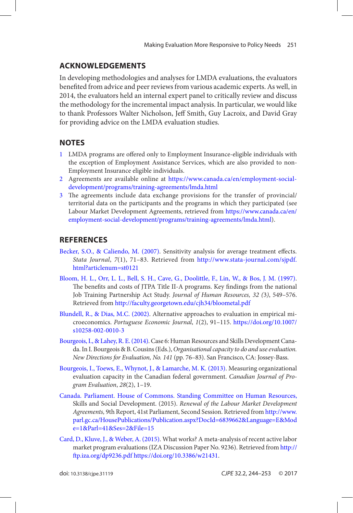# <span id="page-7-0"></span>**Acknowledgements**

In developing methodologies and analyses for LMDA evaluations, the evaluators benefited from advice and peer reviews from various academic experts. As well, in 2014, the evaluators held an internal expert panel to critically review and discuss the methodology for the incremental impact analysis. In particular, we would like to thank Professors Walter Nicholson, Jeff Smith, Guy Lacroix, and David Gray for providing advice on the LMDA evaluation studies.

# **Notes**

- [1](#page-1-0) LMDA programs are offered only to Employment Insurance-eligible individuals with the exception of Employment Assistance Services, which are also provided to non-Employment Insurance eligible individuals.
- [2](#page-1-0) Agreements are available online at [https://www.canada.ca/en/employment-social](https://www.canada.ca/en/employment-social-�development/programs/training-agreements/lmda.html)[development/programs/training-agreements/lmda.html](https://www.canada.ca/en/employment-social-�development/programs/training-agreements/lmda.html)
- [3](#page-3-0) The agreements include data exchange provisions for the transfer of provincial/ territorial data on the participants and the programs in which they participated (see Labour Market Development Agreements, retrieved from [https://www.canada.ca/en/](https://www.canada.ca/en/employment-social-development/programs/training-agreements/lmda.html) [employment-social-development/programs/training-agreements/lmda.html](https://www.canada.ca/en/employment-social-development/programs/training-agreements/lmda.html)).

# **References**

- [Becker, S.O., & Caliendo, M. \(2007\).](#page-4-0) Sensitivity analysis for average treatment effects. *Stata Journal*, *7*(1), 71–83. Retrieved from [http://www.stata-journal.com/sjpdf.](http://www.stata-journal.com/sjpdf.html?articlenum=st0121) [html?articlenum=st0121](http://www.stata-journal.com/sjpdf.html?articlenum=st0121)
- [Bloom, H. L., Orr, L. L., Bell, S. H., Cave, G., Doolittle, F., Lin, W., & Bos, J. M. \(1997\).](#page-3-0) The benefits and costs of JTPA Title II-A programs. Key findings from the national Job Training Partnership Act Study. *Journal of Human Resources, 32 (*3*)*, 549–576. Retrieved from<http://faculty.georgetown.edu/cjh34/bloometal.pdf>
- [Blundell, R., & Dias, M.C. \(2002\)](#page-4-0). Alternative approaches to evaluation in empirical microeconomics. *Portuguese Economic Journal*, *1*(2), 91–115. [https://doi.org/10.1007/](https://doi.org/10.1007/s10258-002-0010-3) [s10258-002-0010-3](https://doi.org/10.1007/s10258-002-0010-3)
- [Bourgeois, I., & Lahey, R. E. \(2014\)](#page-1-0). Case 6: Human Resources and Skills Development Canada. In I. Bourgeois & B. Cousins (Eds.), *Organisational capacity to do and use evaluation. New Directions for Evaluation, No. 141* (pp. 76–83). San Francisco, CA: Jossey-Bass.
- [Bourgeois, I., Toews, E., Whynot, J., & Lamarche, M. K. \(2013\).](#page-1-0) Measuring organizational evaluation capacity in the Canadian federal government. *Canadian Journal of Program Evaluation*, *28*(2), 1–19.
- [Canada. Parliament. House of Commons. Standing Committee on Human Resources,](#page-2-0) Skills and Social Development. (2015). *Renewal of the Labour Market Development Agreements,* 9th Report, 41st Parliament, Second Session. Retrieved from [http://www.](http://www.parl.gc.ca/HousePublications/Publication.aspx?DocId=6839662&Language=E&Mode=1&Parl=41&Ses=2&File=15) [parl.gc.ca/HousePublications/Publication.aspx?DocId=6839662&Language=E&Mod](http://www.parl.gc.ca/HousePublications/Publication.aspx?DocId=6839662&Language=E&Mode=1&Parl=41&Ses=2&File=15) [e=1&Parl=41&Ses=2&File=15](http://www.parl.gc.ca/HousePublications/Publication.aspx?DocId=6839662&Language=E&Mode=1&Parl=41&Ses=2&File=15)
- [Card, D., Kluve, J., & Weber, A. \(2015\)](#page-2-0). What works? A meta-analysis of recent active labor market program evaluations (IZA Discussion Paper No. 9236). Retrieved from [http://](http://ftp.iza.org/dp9236.pdf) [ftp.iza.org/dp9236.pdf](http://ftp.iza.org/dp9236.pdf) <https://doi.org/10.3386/w21431>.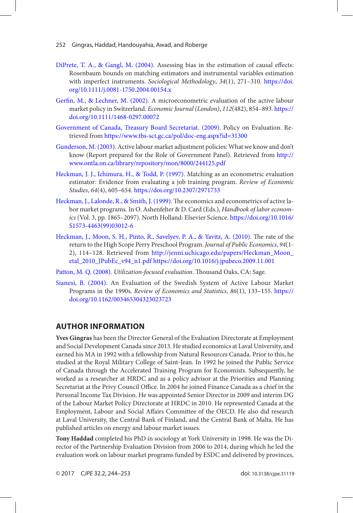- <span id="page-8-0"></span>[DiPrete, T. A., & Gangl, M. \(2004\)](#page-4-0). Assessing bias in the estimation of causal effects: Rosenbaum bounds on matching estimators and instrumental variables estimation with imperfect instruments. *Sociological Methodology*, *34*(1), 271–310. [https://doi.](https://doi.org/10.1111/j.0081-1750.2004.00154.x) [org/10.1111/j.0081-1750.2004.00154.x](https://doi.org/10.1111/j.0081-1750.2004.00154.x)
- [Gerfin, M., & Lechner, M. \(2002\)](#page-4-0). A microeconometric evaluation of the active labour market policy in Switzerland. *Economic Journal (London)*, *112*(482), 854–893. [https://](https://doi.org/10.1111/1468-0297.00072) [doi.org/10.1111/1468-0297.00072](https://doi.org/10.1111/1468-0297.00072)
- [Government of Canada, Treasury Board Secretariat. \(2009\)](#page-1-0). Policy on Evaluation. Retrieved from<https://www.tbs-sct.gc.ca/pol/doc-eng.aspx?id=31300>
- [Gunderson, M. \(2003\)](#page-1-0). Active labour market adjustment policies: What we know and don't know (Report prepared for the Role of Government Panel). Retrieved from [http://](http://www.ontla.on.ca/library/repository/mon/8000/244125.pdf) [www.ontla.on.ca/library/repository/mon/8000/244125.pdf](http://www.ontla.on.ca/library/repository/mon/8000/244125.pdf)
- [Heckman, J. J., Ichimura, H., & Todd, P. \(1997\)](#page-4-0). Matching as an econometric evaluation estimator: Evidence from evaluating a job training program. *Review of Economic Studies*, *64*(4), 605–654. <https://doi.org/10.2307/2971733>
- [Heckman, J., Lalonde, R., & Smith, J. \(1999\)](#page-3-0). The economics and econometrics of active labor market programs. In O. Ashenfelter & D. Card (Eds.), *Handbook of labor economics* (Vol. 3, pp. 1865–2097). North Holland: Elsevier Science. [https://doi.org/10.1016/](https://doi.org/10.1016/S1573-4463(99)03012-6) [S1573-4463\(99\)03012-6](https://doi.org/10.1016/S1573-4463(99)03012-6)
- [Heckman, J., Moon, S. H., Pinto, R., Savelyev, P. A., & Yavitz, A. \(2010\).](#page-3-0) The rate of the return to the High Scope Perry Preschool Program. *Journal of Public Economics*, *94*(1- 2), 114–128. Retrieved from [http://jenni.uchicago.edu/papers/Heckman\\_Moon\\_](http://jenni.uchicago.edu/papers/Heckman_Moon_etal_2010_JPubEc_v94_n1.pdf) [etal\\_2010\\_JPubEc\\_v94\\_n1.pdf](http://jenni.uchicago.edu/papers/Heckman_Moon_etal_2010_JPubEc_v94_n1.pdf) <https://doi.org/10.1016/j.jpubeco.2009.11.001>
- [Patton, M. Q. \(2008\)](#page-6-0). *Utilization-focused evaluation*. Thousand Oaks, CA: Sage.
- [Sianesi, B. \(2004\)](#page-4-0). An Evaluation of the Swedish System of Active Labour Market Programs in the 1990s. *Review of Economics and Statistics*, *86*(1), 133–155. [https://](https://doi.org/10.1162/003465304323023723) [doi.org/10.1162/003465304323023723](https://doi.org/10.1162/003465304323023723)

# **Author Information**

**Yves Gingras** has been the Director General of the Evaluation Directorate at Employment and Social Development Canada since 2013. He studied economics at Laval University, and earned his MA in 1992 with a fellowship from Natural Resources Canada. Prior to this, he studied at the Royal Military College of Saint-Jean. In 1992 he joined the Public Service of Canada through the Accelerated Training Program for Economists. Subsequently, he worked as a researcher at HRDC and as a policy advisor at the Priorities and Planning Secretariat at the Privy Council Office. In 2004 he joined Finance Canada as a chief in the Personal Income Tax Division. He was appointed Senior Director in 2009 and interim DG of the Labour Market Policy Directorate at HRDC in 2010. He represented Canada at the Employment, Labour and Social Affairs Committee of the OECD. He also did research at Laval University, the Central Bank of Finland, and the Central Bank of Malta. He has published articles on energy and labour market issues.

**Tony Haddad** completed his PhD in sociology at York University in 1998. He was the Director of the Partnership Evaluation Division from 2006 to 2014, during which he led the evaluation work on labour market programs funded by ESDC and delivered by provinces,